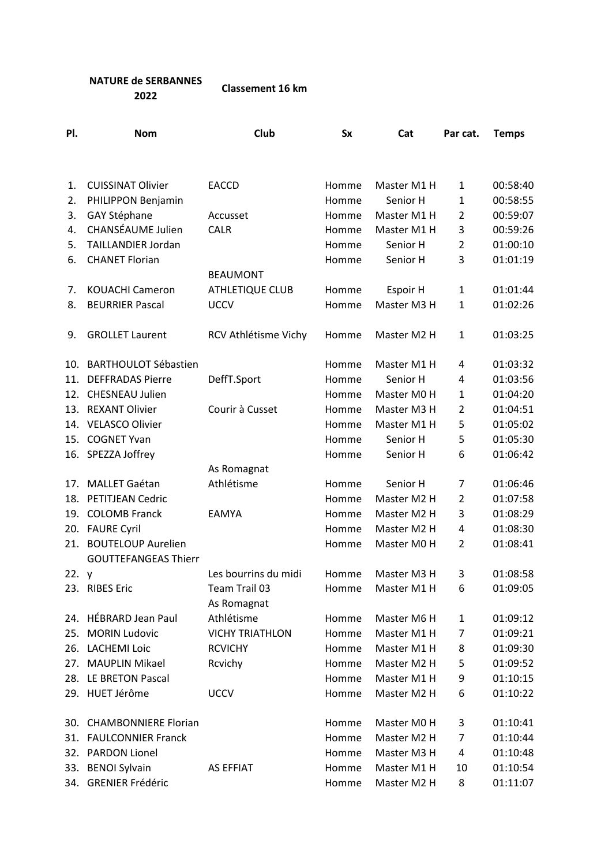## **NATURE de SERBANNES 2022 Classement 16 km**

| PI.     | <b>Nom</b>                                               | Club                   | <b>Sx</b> | Cat         | Par cat.       | <b>Temps</b> |
|---------|----------------------------------------------------------|------------------------|-----------|-------------|----------------|--------------|
|         |                                                          |                        |           |             |                |              |
| 1.      | <b>CUISSINAT Olivier</b>                                 | <b>EACCD</b>           | Homme     | Master M1 H | 1              | 00:58:40     |
| 2.      | PHILIPPON Benjamin                                       |                        | Homme     | Senior H    | 1              | 00:58:55     |
| 3.      | GAY Stéphane                                             | Accusset               | Homme     | Master M1 H | $\overline{2}$ | 00:59:07     |
| 4.      | <b>CHANSÉAUME Julien</b>                                 | <b>CALR</b>            | Homme     | Master M1 H | 3              | 00:59:26     |
| 5.      | TAILLANDIER Jordan                                       |                        | Homme     | Senior H    | $\overline{2}$ | 01:00:10     |
| 6.      | <b>CHANET Florian</b>                                    |                        | Homme     | Senior H    | 3              | 01:01:19     |
|         |                                                          | <b>BEAUMONT</b>        |           |             |                |              |
| 7.      | <b>KOUACHI Cameron</b>                                   | <b>ATHLETIQUE CLUB</b> | Homme     | Espoir H    | 1              | 01:01:44     |
| 8.      | <b>BEURRIER Pascal</b>                                   | <b>UCCV</b>            | Homme     | Master M3 H | 1              | 01:02:26     |
| 9.      | <b>GROLLET Laurent</b>                                   | RCV Athlétisme Vichy   | Homme     | Master M2 H | 1              | 01:03:25     |
|         | 10. BARTHOULOT Sébastien                                 |                        | Homme     | Master M1 H | 4              | 01:03:32     |
| 11.     | <b>DEFFRADAS Pierre</b>                                  | DeffT.Sport            | Homme     | Senior H    | 4              | 01:03:56     |
| 12.     | <b>CHESNEAU Julien</b>                                   |                        | Homme     | Master M0 H | $\mathbf{1}$   | 01:04:20     |
|         | 13. REXANT Olivier                                       | Courir à Cusset        | Homme     | Master M3 H | $\overline{2}$ | 01:04:51     |
|         | 14. VELASCO Olivier                                      |                        | Homme     | Master M1 H | 5              | 01:05:02     |
|         | 15. COGNET Yvan                                          |                        | Homme     | Senior H    | 5              | 01:05:30     |
|         | 16. SPEZZA Joffrey                                       |                        | Homme     | Senior H    | 6              | 01:06:42     |
|         |                                                          | As Romagnat            |           |             |                |              |
|         | 17. MALLET Gaétan                                        | Athlétisme             | Homme     | Senior H    | 7              | 01:06:46     |
| 18.     | PETITJEAN Cedric                                         |                        | Homme     | Master M2 H | $\overline{2}$ | 01:07:58     |
|         | 19. COLOMB Franck                                        | <b>EAMYA</b>           | Homme     | Master M2 H | 3              | 01:08:29     |
|         | 20. FAURE Cyril                                          |                        | Homme     | Master M2 H | 4              | 01:08:30     |
| 21.     | <b>BOUTELOUP Aurelien</b><br><b>GOUTTEFANGEAS Thierr</b> |                        | Homme     | Master M0 H | $\overline{2}$ | 01:08:41     |
| 22. $y$ |                                                          | Les bourrins du midi   | Homme     | Master M3 H | 3              | 01:08:58     |
|         | 23. RIBES Eric                                           | Team Trail 03          | Homme     | Master M1 H | 6              | 01:09:05     |
|         |                                                          | As Romagnat            |           |             |                |              |
|         | 24. HÉBRARD Jean Paul                                    | Athlétisme             | Homme     | Master M6 H | 1              | 01:09:12     |
| 25.     | <b>MORIN Ludovic</b>                                     | <b>VICHY TRIATHLON</b> | Homme     | Master M1 H | 7              | 01:09:21     |
| 26.     | <b>LACHEMI Loic</b>                                      | <b>RCVICHY</b>         | Homme     | Master M1 H | 8              | 01:09:30     |
| 27.     | <b>MAUPLIN Mikael</b>                                    | Rcvichy                | Homme     | Master M2 H | 5              | 01:09:52     |
| 28.     | LE BRETON Pascal                                         |                        | Homme     | Master M1 H | 9              | 01:10:15     |
|         | 29. HUET Jérôme                                          | <b>UCCV</b>            | Homme     | Master M2 H | 6              | 01:10:22     |
|         | 30. CHAMBONNIERE Florian                                 |                        | Homme     | Master M0 H | 3              | 01:10:41     |
| 31.     | <b>FAULCONNIER Franck</b>                                |                        | Homme     | Master M2 H | 7              | 01:10:44     |
| 32.     | <b>PARDON Lionel</b>                                     |                        | Homme     | Master M3 H | 4              | 01:10:48     |
|         | 33. BENOI Sylvain                                        | <b>AS EFFIAT</b>       | Homme     | Master M1 H | 10             | 01:10:54     |
|         | 34. GRENIER Frédéric                                     |                        | Homme     | Master M2 H | 8              | 01:11:07     |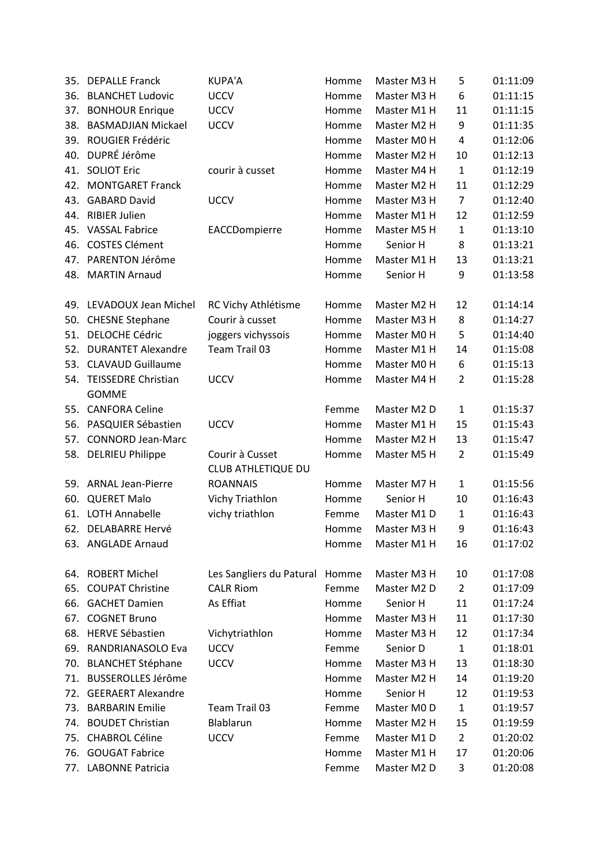| 35. | <b>DEPALLE Franck</b>                      | <b>KUPA'A</b>                  | Homme | Master M3 H | 5              | 01:11:09 |
|-----|--------------------------------------------|--------------------------------|-------|-------------|----------------|----------|
| 36. | <b>BLANCHET Ludovic</b>                    | <b>UCCV</b>                    | Homme | Master M3 H | 6              | 01:11:15 |
| 37. | <b>BONHOUR Enrique</b>                     | <b>UCCV</b>                    | Homme | Master M1 H | 11             | 01:11:15 |
| 38. | <b>BASMADJIAN Mickael</b>                  | <b>UCCV</b>                    | Homme | Master M2 H | 9              | 01:11:35 |
| 39. | ROUGIER Frédéric                           |                                | Homme | Master M0 H | 4              | 01:12:06 |
|     | 40. DUPRÉ Jérôme                           |                                | Homme | Master M2 H | 10             | 01:12:13 |
|     | 41. SOLIOT Eric                            | courir à cusset                | Homme | Master M4 H | $\mathbf{1}$   | 01:12:19 |
|     | 42. MONTGARET Franck                       |                                | Homme | Master M2 H | 11             | 01:12:29 |
| 43. | <b>GABARD David</b>                        | <b>UCCV</b>                    | Homme | Master M3 H | 7              | 01:12:40 |
|     | 44. RIBIER Julien                          |                                | Homme | Master M1 H | 12             | 01:12:59 |
|     | 45. VASSAL Fabrice                         | EACCDompierre                  | Homme | Master M5 H | 1              | 01:13:10 |
| 46. | <b>COSTES Clément</b>                      |                                | Homme | Senior H    | 8              | 01:13:21 |
| 47. | PARENTON Jérôme                            |                                | Homme | Master M1 H | 13             | 01:13:21 |
| 48. | <b>MARTIN Arnaud</b>                       |                                | Homme | Senior H    | 9              | 01:13:58 |
|     | 49. LEVADOUX Jean Michel                   | RC Vichy Athlétisme            | Homme | Master M2 H | 12             | 01:14:14 |
| 50. | <b>CHESNE Stephane</b>                     | Courir à cusset                | Homme | Master M3 H | 8              | 01:14:27 |
|     | 51. DELOCHE Cédric                         | joggers vichyssois             | Homme | Master M0 H | 5              | 01:14:40 |
| 52. | <b>DURANTET Alexandre</b>                  | Team Trail 03                  | Homme | Master M1 H | 14             | 01:15:08 |
|     | 53. CLAVAUD Guillaume                      |                                | Homme | Master M0 H | 6              | 01:15:13 |
| 54. | <b>TEISSEDRE Christian</b><br><b>GOMME</b> | <b>UCCV</b>                    | Homme | Master M4 H | $\overline{2}$ | 01:15:28 |
| 55. | <b>CANFORA Celine</b>                      |                                | Femme | Master M2 D | 1              | 01:15:37 |
| 56. | PASQUIER Sébastien                         | <b>UCCV</b>                    | Homme | Master M1 H | 15             | 01:15:43 |
| 57. | <b>CONNORD Jean-Marc</b>                   |                                | Homme | Master M2 H | 13             | 01:15:47 |
| 58. | <b>DELRIEU Philippe</b>                    | Courir à Cusset                | Homme | Master M5 H | $\overline{2}$ | 01:15:49 |
|     |                                            | <b>CLUB ATHLETIQUE DU</b>      |       |             |                |          |
|     | 59. ARNAL Jean-Pierre                      | <b>ROANNAIS</b>                | Homme | Master M7 H | 1              | 01:15:56 |
| 60. | <b>QUERET Malo</b>                         | Vichy Triathlon                | Homme | Senior H    | 10             | 01:16:43 |
|     | 61. LOTH Annabelle                         | vichy triathlon                | Femme | Master M1 D | $\mathbf{1}$   | 01:16:43 |
|     | 62. DELABARRE Hervé                        |                                | Homme | Master M3 H | 9              | 01:16:43 |
|     | 63. ANGLADE Arnaud                         |                                | Homme | Master M1 H | 16             | 01:17:02 |
|     | 64. ROBERT Michel                          | Les Sangliers du Patural Homme |       | Master M3 H | 10             | 01:17:08 |
| 65. | <b>COUPAT Christine</b>                    | <b>CALR Riom</b>               | Femme | Master M2 D | $\overline{2}$ | 01:17:09 |
|     | 66. GACHET Damien                          | As Effiat                      | Homme | Senior H    | 11             | 01:17:24 |
| 67. | <b>COGNET Bruno</b>                        |                                | Homme | Master M3 H | 11             | 01:17:30 |
| 68. | <b>HERVE Sébastien</b>                     | Vichytriathlon                 | Homme | Master M3 H | 12             | 01:17:34 |
| 69. | RANDRIANASOLO Eva                          | <b>UCCV</b>                    | Femme | Senior D    | $\mathbf{1}$   | 01:18:01 |
| 70. | <b>BLANCHET Stéphane</b>                   | <b>UCCV</b>                    | Homme | Master M3 H | 13             | 01:18:30 |
| 71. | <b>BUSSEROLLES Jérôme</b>                  |                                | Homme | Master M2 H | 14             | 01:19:20 |
|     | 72. GEERAERT Alexandre                     |                                | Homme | Senior H    | 12             | 01:19:53 |
| 73. | <b>BARBARIN Emilie</b>                     | Team Trail 03                  | Femme | Master M0 D | $\mathbf{1}$   | 01:19:57 |
|     | 74. BOUDET Christian                       | Blablarun                      | Homme | Master M2 H | 15             | 01:19:59 |
| 75. | <b>CHABROL Céline</b>                      | <b>UCCV</b>                    | Femme | Master M1 D | $\overline{2}$ | 01:20:02 |
|     | 76. GOUGAT Fabrice                         |                                | Homme | Master M1 H | 17             | 01:20:06 |
|     | 77. LABONNE Patricia                       |                                | Femme | Master M2 D | 3              | 01:20:08 |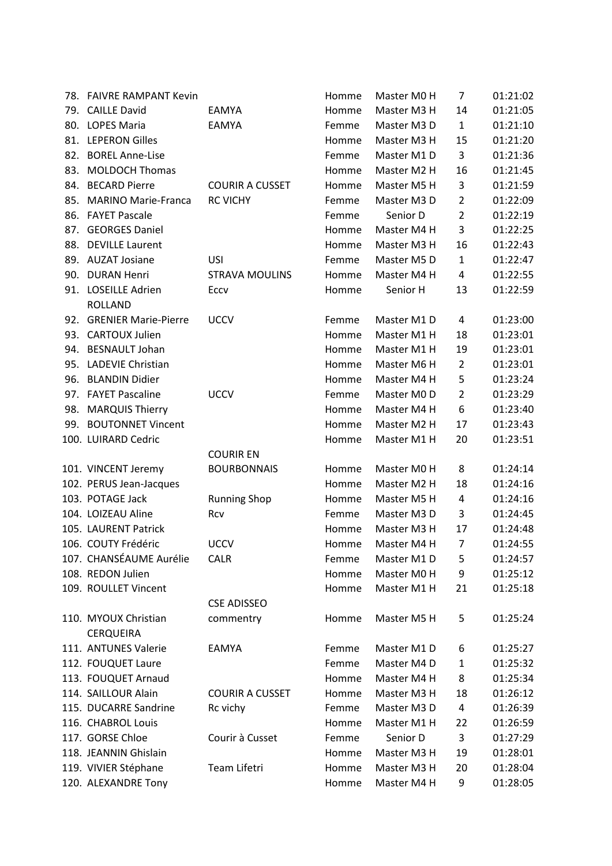| 78. FAIVRE RAMPANT Kevin |                        | Homme | Master M0 H | 7              | 01:21:02 |
|--------------------------|------------------------|-------|-------------|----------------|----------|
| 79. CAILLE David         | EAMYA                  | Homme | Master M3 H | 14             | 01:21:05 |
| 80. LOPES Maria          | <b>EAMYA</b>           | Femme | Master M3 D | $\mathbf{1}$   | 01:21:10 |
| 81. LEPERON Gilles       |                        | Homme | Master M3 H | 15             | 01:21:20 |
| 82. BOREL Anne-Lise      |                        | Femme | Master M1 D | 3              | 01:21:36 |
| 83. MOLDOCH Thomas       |                        | Homme | Master M2 H | 16             | 01:21:45 |
| 84. BECARD Pierre        | <b>COURIR A CUSSET</b> | Homme | Master M5 H | 3              | 01:21:59 |
| 85. MARINO Marie-Franca  | <b>RC VICHY</b>        | Femme | Master M3 D | $\overline{2}$ | 01:22:09 |
| 86. FAYET Pascale        |                        | Femme | Senior D    | $\overline{2}$ | 01:22:19 |
| 87. GEORGES Daniel       |                        | Homme | Master M4 H | 3              | 01:22:25 |
| 88. DEVILLE Laurent      |                        | Homme | Master M3 H | 16             | 01:22:43 |
| 89. AUZAT Josiane        | <b>USI</b>             | Femme | Master M5 D | $\mathbf{1}$   | 01:22:47 |
| 90. DURAN Henri          | <b>STRAVA MOULINS</b>  | Homme | Master M4 H | 4              | 01:22:55 |
| 91. LOSEILLE Adrien      | Eccv                   | Homme | Senior H    | 13             | 01:22:59 |
| <b>ROLLAND</b>           |                        |       |             |                |          |
| 92. GRENIER Marie-Pierre | <b>UCCV</b>            | Femme | Master M1 D | 4              | 01:23:00 |
| 93. CARTOUX Julien       |                        | Homme | Master M1 H | 18             | 01:23:01 |
| 94. BESNAULT Johan       |                        | Homme | Master M1 H | 19             | 01:23:01 |
| 95. LADEVIE Christian    |                        | Homme | Master M6 H | $\overline{2}$ | 01:23:01 |
| 96. BLANDIN Didier       |                        | Homme | Master M4 H | 5              | 01:23:24 |
| 97. FAYET Pascaline      | <b>UCCV</b>            | Femme | Master M0 D | $\overline{2}$ | 01:23:29 |
| 98. MARQUIS Thierry      |                        | Homme | Master M4 H | 6              | 01:23:40 |
| 99. BOUTONNET Vincent    |                        | Homme | Master M2 H | 17             | 01:23:43 |
| 100. LUIRARD Cedric      |                        | Homme | Master M1 H | 20             | 01:23:51 |
|                          | <b>COURIR EN</b>       |       |             |                |          |
| 101. VINCENT Jeremy      | <b>BOURBONNAIS</b>     | Homme | Master M0 H | 8              | 01:24:14 |
| 102. PERUS Jean-Jacques  |                        | Homme | Master M2 H | 18             | 01:24:16 |
| 103. POTAGE Jack         | <b>Running Shop</b>    | Homme | Master M5 H | 4              | 01:24:16 |
| 104. LOIZEAU Aline       | Rcv                    | Femme | Master M3 D | 3              | 01:24:45 |
| 105. LAURENT Patrick     |                        | Homme | Master M3 H | 17             | 01:24:48 |
| 106. COUTY Frédéric      | <b>UCCV</b>            | Homme | Master M4 H | $\overline{7}$ | 01:24:55 |
| 107. CHANSÉAUME Aurélie  | <b>CALR</b>            | Femme | Master M1 D | 5              | 01:24:57 |
| 108. REDON Julien        |                        | Homme | Master M0 H | 9              | 01:25:12 |
| 109. ROULLET Vincent     |                        | Homme | Master M1 H | 21             | 01:25:18 |
|                          | <b>CSE ADISSEO</b>     |       |             |                |          |
| 110. MYOUX Christian     | commentry              | Homme | Master M5 H | 5              | 01:25:24 |
| <b>CERQUEIRA</b>         |                        |       |             |                |          |
| 111. ANTUNES Valerie     | EAMYA                  | Femme | Master M1 D | 6              | 01:25:27 |
| 112. FOUQUET Laure       |                        | Femme | Master M4 D | $\mathbf{1}$   | 01:25:32 |
| 113. FOUQUET Arnaud      |                        | Homme | Master M4 H | 8              | 01:25:34 |
| 114. SAILLOUR Alain      | <b>COURIR A CUSSET</b> | Homme | Master M3 H | 18             | 01:26:12 |
| 115. DUCARRE Sandrine    | Rc vichy               | Femme | Master M3 D | 4              | 01:26:39 |
| 116. CHABROL Louis       |                        | Homme | Master M1 H | 22             | 01:26:59 |
| 117. GORSE Chloe         | Courir à Cusset        | Femme | Senior D    | 3              | 01:27:29 |
| 118. JEANNIN Ghislain    |                        | Homme | Master M3 H | 19             | 01:28:01 |
| 119. VIVIER Stéphane     | Team Lifetri           | Homme | Master M3 H | 20             | 01:28:04 |
| 120. ALEXANDRE Tony      |                        | Homme | Master M4 H | 9              | 01:28:05 |
|                          |                        |       |             |                |          |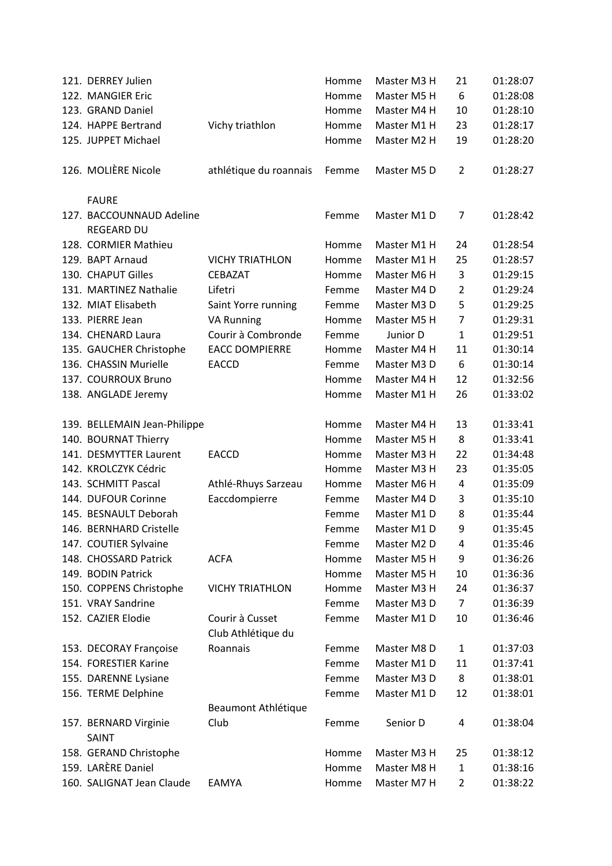| 121. DERREY Julien                            |                                       | Homme | Master M3 H | 21             | 01:28:07 |
|-----------------------------------------------|---------------------------------------|-------|-------------|----------------|----------|
| 122. MANGIER Eric                             |                                       | Homme | Master M5 H | 6              | 01:28:08 |
| 123. GRAND Daniel                             |                                       | Homme | Master M4 H | 10             | 01:28:10 |
| 124. HAPPE Bertrand                           | Vichy triathlon                       | Homme | Master M1 H | 23             | 01:28:17 |
| 125. JUPPET Michael                           |                                       | Homme | Master M2 H | 19             | 01:28:20 |
| 126. MOLIÈRE Nicole                           | athlétique du roannais                | Femme | Master M5 D | $\overline{2}$ | 01:28:27 |
| <b>FAURE</b>                                  |                                       |       |             |                |          |
| 127. BACCOUNNAUD Adeline<br><b>REGEARD DU</b> |                                       | Femme | Master M1 D | 7              | 01:28:42 |
| 128. CORMIER Mathieu                          |                                       | Homme | Master M1 H | 24             | 01:28:54 |
| 129. BAPT Arnaud                              | <b>VICHY TRIATHLON</b>                | Homme | Master M1 H | 25             | 01:28:57 |
| 130. CHAPUT Gilles                            | CEBAZAT                               | Homme | Master M6 H | 3              | 01:29:15 |
| 131. MARTINEZ Nathalie                        | Lifetri                               | Femme | Master M4 D | $\overline{2}$ | 01:29:24 |
| 132. MIAT Elisabeth                           | Saint Yorre running                   | Femme | Master M3 D | 5              | 01:29:25 |
| 133. PIERRE Jean                              | <b>VA Running</b>                     | Homme | Master M5 H | $\overline{7}$ | 01:29:31 |
| 134. CHENARD Laura                            | Courir à Combronde                    | Femme | Junior D    | $\mathbf{1}$   | 01:29:51 |
| 135. GAUCHER Christophe                       | <b>EACC DOMPIERRE</b>                 | Homme | Master M4 H | 11             | 01:30:14 |
| 136. CHASSIN Murielle                         | <b>EACCD</b>                          | Femme | Master M3 D | 6              | 01:30:14 |
| 137. COURROUX Bruno                           |                                       | Homme | Master M4 H | 12             | 01:32:56 |
| 138. ANGLADE Jeremy                           |                                       | Homme | Master M1 H | 26             | 01:33:02 |
| 139. BELLEMAIN Jean-Philippe                  |                                       | Homme | Master M4 H | 13             | 01:33:41 |
| 140. BOURNAT Thierry                          |                                       | Homme | Master M5 H | 8              | 01:33:41 |
| 141. DESMYTTER Laurent                        | <b>EACCD</b>                          | Homme | Master M3 H | 22             | 01:34:48 |
| 142. KROLCZYK Cédric                          |                                       | Homme | Master M3 H | 23             | 01:35:05 |
| 143. SCHMITT Pascal                           | Athlé-Rhuys Sarzeau                   | Homme | Master M6 H | 4              | 01:35:09 |
| 144. DUFOUR Corinne                           | Eaccdompierre                         | Femme | Master M4 D | 3              | 01:35:10 |
| 145. BESNAULT Deborah                         |                                       | Femme | Master M1 D | 8              | 01:35:44 |
| 146. BERNHARD Cristelle                       |                                       | Femme | Master M1 D | 9              | 01:35:45 |
| 147. COUTIER Sylvaine                         |                                       | Femme | Master M2 D | 4              | 01:35:46 |
| 148. CHOSSARD Patrick                         | <b>ACFA</b>                           | Homme | Master M5 H | 9              | 01:36:26 |
| 149. BODIN Patrick                            |                                       | Homme | Master M5 H | 10             | 01:36:36 |
| 150. COPPENS Christophe                       | <b>VICHY TRIATHLON</b>                | Homme | Master M3 H | 24             | 01:36:37 |
| 151. VRAY Sandrine                            |                                       | Femme | Master M3 D | $\overline{7}$ | 01:36:39 |
| 152. CAZIER Elodie                            | Courir à Cusset<br>Club Athlétique du | Femme | Master M1 D | 10             | 01:36:46 |
| 153. DECORAY Françoise                        | Roannais                              | Femme | Master M8 D | 1              | 01:37:03 |
| 154. FORESTIER Karine                         |                                       | Femme | Master M1 D | 11             | 01:37:41 |
| 155. DARENNE Lysiane                          |                                       | Femme | Master M3 D | 8              | 01:38:01 |
| 156. TERME Delphine                           |                                       | Femme | Master M1 D | 12             | 01:38:01 |
|                                               | Beaumont Athlétique                   |       |             |                |          |
| 157. BERNARD Virginie<br>SAINT                | Club                                  | Femme | Senior D    | 4              | 01:38:04 |
| 158. GERAND Christophe                        |                                       | Homme | Master M3 H | 25             | 01:38:12 |
| 159. LARÈRE Daniel                            |                                       | Homme | Master M8 H | $\mathbf{1}$   | 01:38:16 |
| 160. SALIGNAT Jean Claude                     | EAMYA                                 | Homme | Master M7 H | $\overline{2}$ | 01:38:22 |
|                                               |                                       |       |             |                |          |